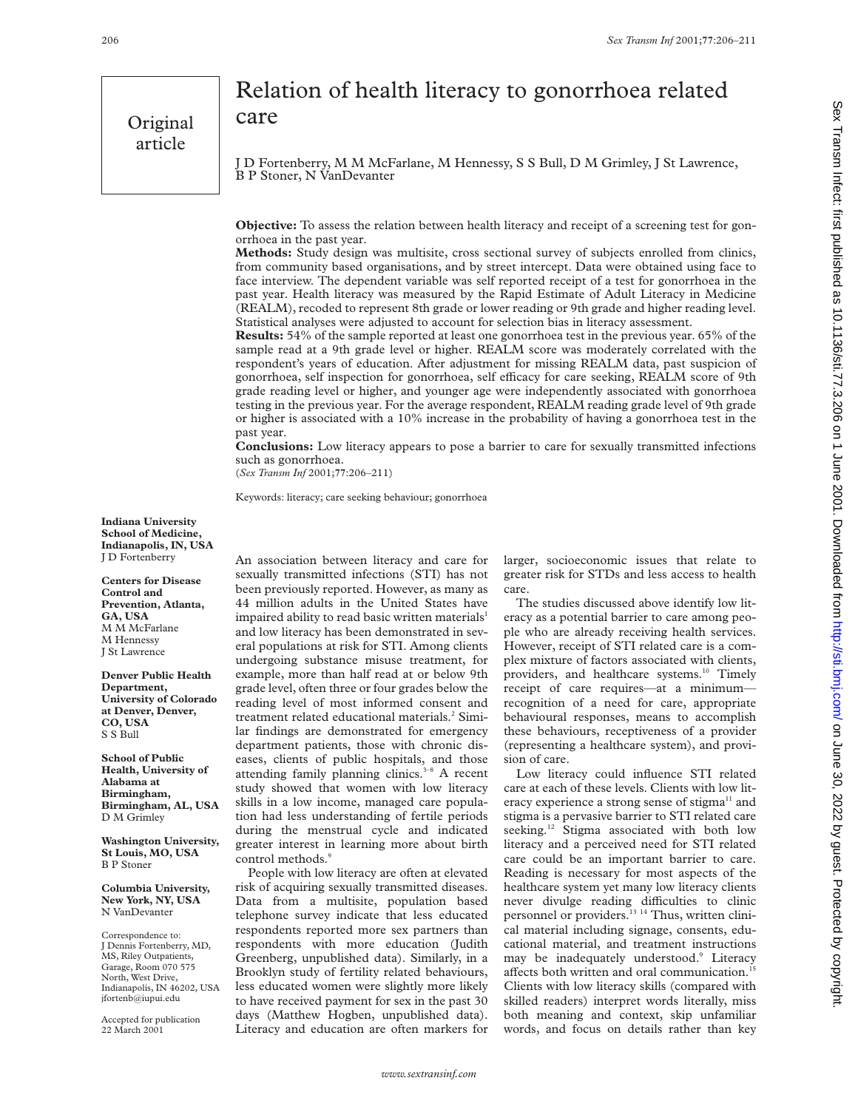# Original article Relation of health literacy to gonorrhoea related care J D Fortenberry, M M McFarlane, M Hennessy, S S Bull, D M Grimley, J St Lawrence, B P Stoner, N VanDevanter

**Objective:** To assess the relation between health literacy and receipt of a screening test for gonorrhoea in the past year.

**Methods:** Study design was multisite, cross sectional survey of subjects enrolled from clinics, from community based organisations, and by street intercept. Data were obtained using face to face interview. The dependent variable was self reported receipt of a test for gonorrhoea in the past year. Health literacy was measured by the Rapid Estimate of Adult Literacy in Medicine (REALM), recoded to represent 8th grade or lower reading or 9th grade and higher reading level. Statistical analyses were adjusted to account for selection bias in literacy assessment.

**Results:** 54% of the sample reported at least one gonorrhoea test in the previous year. 65% of the sample read at a 9th grade level or higher. REALM score was moderately correlated with the respondent's years of education. After adjustment for missing REALM data, past suspicion of gonorrhoea, self inspection for gonorrhoea, self efficacy for care seeking, REALM score of 9th grade reading level or higher, and younger age were independently associated with gonorrhoea testing in the previous year. For the average respondent, REALM reading grade level of 9th grade or higher is associated with a 10% increase in the probability of having a gonorrhoea test in the past year.

**Conclusions:** Low literacy appears to pose a barrier to care for sexually transmitted infections such as gonorrhoea.

(*Sex Transm Inf* 2001;**77**:206–211)

Keywords: literacy; care seeking behaviour; gonorrhoea

#### **Indiana University School of Medicine, Indianapolis, IN, USA** J D Fortenberry

**Centers for Disease Control and Prevention, Atlanta, GA, USA** M M McFarlane M Hennessy J St Lawrence

**Denver Public Health Department, University of Colorado at Denver, Denver, CO, USA** S S Bull

**School of Public Health, University of Alabama at Birmingham, Birmingham, AL, USA** D M Grimley

**Washington University, St Louis, MO, USA** B P Stoner

**Columbia University, New York, NY, USA** N VanDevanter

Correspondence to: J Dennis Fortenberry, MD, MS, Riley Outpatients, Garage, Room 070 575 North, West Drive, Indianapolis, IN 46202, USA jfortenb@iupui.edu

Accepted for publication 22 March 2001

An association between literacy and care for sexually transmitted infections (STI) has not been previously reported. However, as many as 44 million adults in the United States have impaired ability to read basic written materials<sup>1</sup> and low literacy has been demonstrated in several populations at risk for STI. Among clients undergoing substance misuse treatment, for example, more than half read at or below 9th grade level, often three or four grades below the reading level of most informed consent and treatment related educational materials.<sup>2</sup> Similar findings are demonstrated for emergency department patients, those with chronic diseases, clients of public hospitals, and those attending family planning clinics.<sup>3-8</sup> A recent study showed that women with low literacy skills in a low income, managed care population had less understanding of fertile periods during the menstrual cycle and indicated greater interest in learning more about birth control methods.<sup>9</sup>

People with low literacy are often at elevated risk of acquiring sexually transmitted diseases. Data from a multisite, population based telephone survey indicate that less educated respondents reported more sex partners than respondents with more education (Judith Greenberg, unpublished data). Similarly, in a Brooklyn study of fertility related behaviours, less educated women were slightly more likely to have received payment for sex in the past 30 days (Matthew Hogben, unpublished data). Literacy and education are often markers for

larger, socioeconomic issues that relate to greater risk for STDs and less access to health care.

The studies discussed above identify low literacy as a potential barrier to care among people who are already receiving health services. However, receipt of STI related care is a complex mixture of factors associated with clients, providers, and healthcare systems.<sup>10</sup> Timely receipt of care requires—at a minimum recognition of a need for care, appropriate behavioural responses, means to accomplish these behaviours, receptiveness of a provider (representing a healthcare system), and provision of care.

Low literacy could influence STI related care at each of these levels. Clients with low literacy experience a strong sense of stigma<sup>11</sup> and stigma is a pervasive barrier to STI related care seeking.<sup>12</sup> Stigma associated with both low literacy and a perceived need for STI related care could be an important barrier to care. Reading is necessary for most aspects of the healthcare system yet many low literacy clients never divulge reading difficulties to clinic personnel or providers.13 14 Thus, written clinical material including signage, consents, educational material, and treatment instructions may be inadequately understood.<sup>9</sup> Literacy affects both written and oral communication.<sup>15</sup> Clients with low literacy skills (compared with skilled readers) interpret words literally, miss both meaning and context, skip unfamiliar words, and focus on details rather than key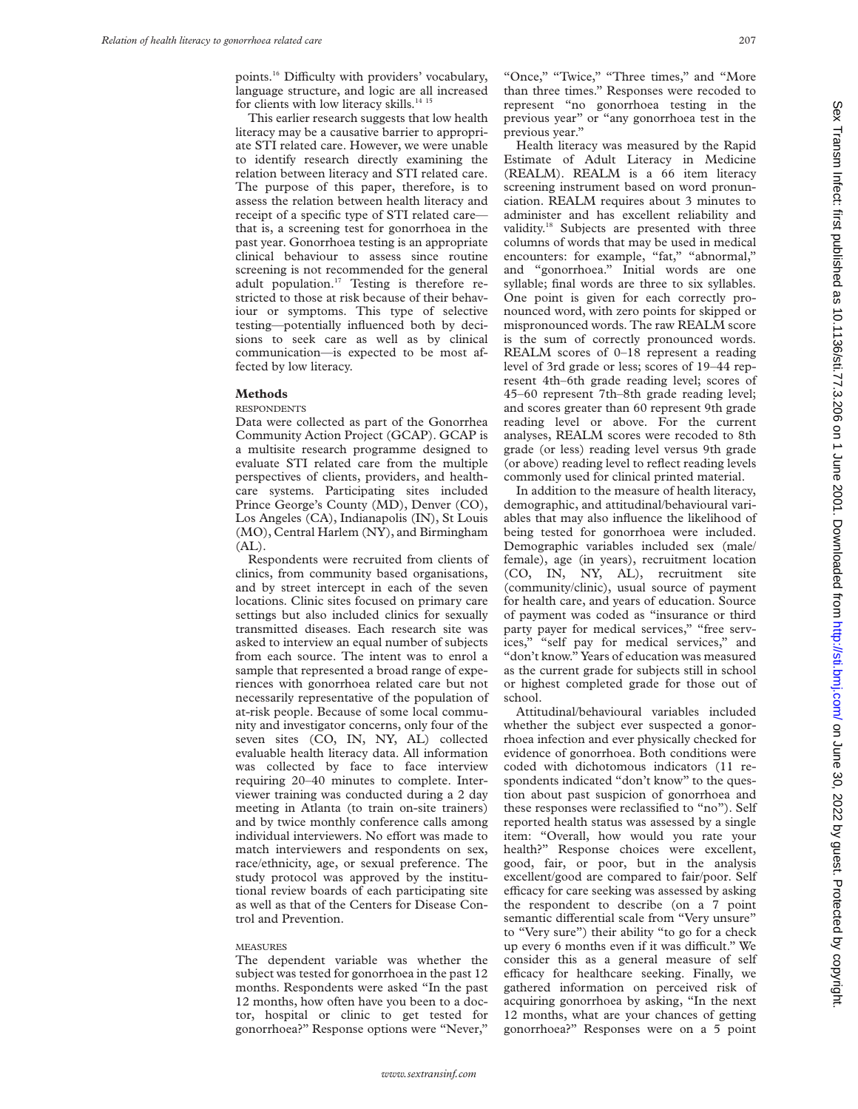points.<sup>16</sup> Difficulty with providers' vocabulary, language structure, and logic are all increased for clients with low literacy skills.<sup>14 15</sup>

This earlier research suggests that low health literacy may be a causative barrier to appropriate STI related care. However, we were unable to identify research directly examining the relation between literacy and STI related care. The purpose of this paper, therefore, is to assess the relation between health literacy and receipt of a specific type of STI related care that is, a screening test for gonorrhoea in the past year. Gonorrhoea testing is an appropriate clinical behaviour to assess since routine screening is not recommended for the general adult population.<sup>17</sup> Testing is therefore restricted to those at risk because of their behaviour or symptoms. This type of selective testing—potentially influenced both by decisions to seek care as well as by clinical communication—is expected to be most affected by low literacy.

## **Methods**

#### RESPONDENTS

Data were collected as part of the Gonorrhea Community Action Project (GCAP). GCAP is a multisite research programme designed to evaluate STI related care from the multiple perspectives of clients, providers, and healthcare systems. Participating sites included Prince George's County (MD), Denver (CO), Los Angeles (CA), Indianapolis (IN), St Louis (MO), Central Harlem (NY), and Birmingham  $(AL)$ .

Respondents were recruited from clients of clinics, from community based organisations, and by street intercept in each of the seven locations. Clinic sites focused on primary care settings but also included clinics for sexually transmitted diseases. Each research site was asked to interview an equal number of subjects from each source. The intent was to enrol a sample that represented a broad range of experiences with gonorrhoea related care but not necessarily representative of the population of at-risk people. Because of some local community and investigator concerns, only four of the seven sites (CO, IN, NY, AL) collected evaluable health literacy data. All information was collected by face to face interview requiring 20–40 minutes to complete. Interviewer training was conducted during a 2 day meeting in Atlanta (to train on-site trainers) and by twice monthly conference calls among individual interviewers. No effort was made to match interviewers and respondents on sex, race/ethnicity, age, or sexual preference. The study protocol was approved by the institutional review boards of each participating site as well as that of the Centers for Disease Control and Prevention.

## MEASURES

The dependent variable was whether the subject was tested for gonorrhoea in the past 12 months. Respondents were asked "In the past 12 months, how often have you been to a doctor, hospital or clinic to get tested for gonorrhoea?" Response options were "Never,"

"Once," "Twice," "Three times," and "More than three times." Responses were recoded to represent "no gonorrhoea testing in the previous year" or "any gonorrhoea test in the previous year."

Health literacy was measured by the Rapid Estimate of Adult Literacy in Medicine (REALM). REALM is a 66 item literacy screening instrument based on word pronunciation. REALM requires about 3 minutes to administer and has excellent reliability and validity.<sup>18</sup> Subjects are presented with three columns of words that may be used in medical encounters: for example, "fat," "abnormal," and "gonorrhoea." Initial words are one syllable; final words are three to six syllables. One point is given for each correctly pronounced word, with zero points for skipped or mispronounced words. The raw REALM score is the sum of correctly pronounced words. REALM scores of 0–18 represent a reading level of 3rd grade or less; scores of 19–44 represent 4th–6th grade reading level; scores of 45–60 represent 7th–8th grade reading level; and scores greater than 60 represent 9th grade reading level or above. For the current analyses, REALM scores were recoded to 8th grade (or less) reading level versus 9th grade (or above) reading level to reflect reading levels commonly used for clinical printed material.

In addition to the measure of health literacy, demographic, and attitudinal/behavioural variables that may also influence the likelihood of being tested for gonorrhoea were included. Demographic variables included sex (male/ female), age (in years), recruitment location (CO, IN, NY, AL), recruitment site (community/clinic), usual source of payment for health care, and years of education. Source of payment was coded as "insurance or third party payer for medical services," "free services," "self pay for medical services," and "don't know." Years of education was measured as the current grade for subjects still in school or highest completed grade for those out of school.

Attitudinal/behavioural variables included whether the subject ever suspected a gonorrhoea infection and ever physically checked for evidence of gonorrhoea. Both conditions were coded with dichotomous indicators (11 respondents indicated "don't know" to the question about past suspicion of gonorrhoea and these responses were reclassified to "no"). Self reported health status was assessed by a single item: "Overall, how would you rate your health?" Response choices were excellent, good, fair, or poor, but in the analysis excellent/good are compared to fair/poor. Self efficacy for care seeking was assessed by asking the respondent to describe (on a 7 point semantic differential scale from "Very unsure" to "Very sure") their ability "to go for a check up every 6 months even if it was difficult." We consider this as a general measure of self efficacy for healthcare seeking. Finally, we gathered information on perceived risk of acquiring gonorrhoea by asking, "In the next 12 months, what are your chances of getting gonorrhoea?" Responses were on a 5 point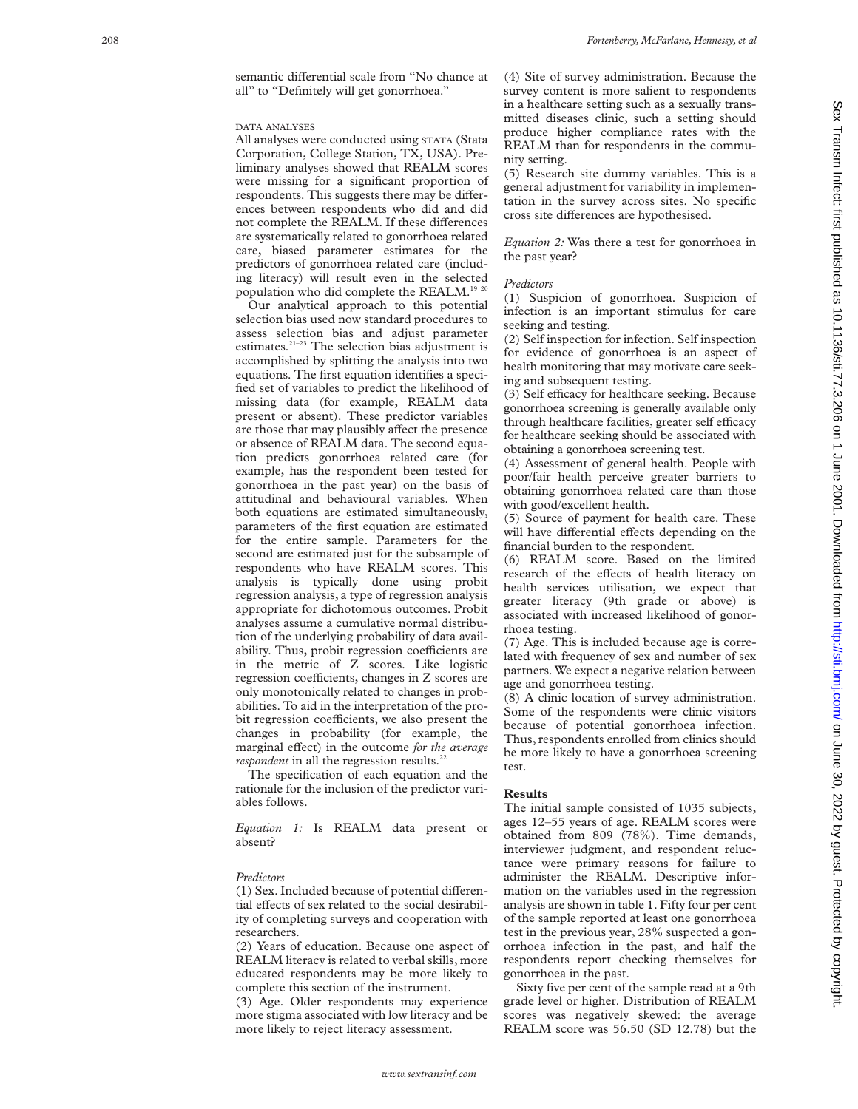semantic differential scale from "No chance at all" to "Definitely will get gonorrhoea."

#### DATA ANALYSES

All analyses were conducted using STATA (Stata Corporation, College Station, TX, USA). Preliminary analyses showed that REALM scores were missing for a significant proportion of respondents. This suggests there may be differences between respondents who did and did not complete the REALM. If these differences are systematically related to gonorrhoea related care, biased parameter estimates for the predictors of gonorrhoea related care (including literacy) will result even in the selected population who did complete the REALM.<sup>19 20</sup>

Our analytical approach to this potential selection bias used now standard procedures to assess selection bias and adjust parameter estimates.21–23 The selection bias adjustment is accomplished by splitting the analysis into two equations. The first equation identifies a specified set of variables to predict the likelihood of missing data (for example, REALM data present or absent). These predictor variables are those that may plausibly affect the presence or absence of REALM data. The second equation predicts gonorrhoea related care (for example, has the respondent been tested for gonorrhoea in the past year) on the basis of attitudinal and behavioural variables. When both equations are estimated simultaneously, parameters of the first equation are estimated for the entire sample. Parameters for the second are estimated just for the subsample of respondents who have REALM scores. This analysis is typically done using probit regression analysis, a type of regression analysis appropriate for dichotomous outcomes. Probit analyses assume a cumulative normal distribution of the underlying probability of data availability. Thus, probit regression coefficients are in the metric of Z scores. Like logistic regression coefficients, changes in Z scores are only monotonically related to changes in probabilities. To aid in the interpretation of the probit regression coefficients, we also present the changes in probability (for example, the marginal effect) in the outcome *for the average respondent* in all the regression results.<sup>22</sup>

The specification of each equation and the rationale for the inclusion of the predictor variables follows.

*Equation 1:* Is REALM data present or absent?

#### *Predictors*

(1) Sex. Included because of potential differential effects of sex related to the social desirability of completing surveys and cooperation with researchers.

(2) Years of education. Because one aspect of REALM literacy is related to verbal skills, more educated respondents may be more likely to complete this section of the instrument.

(3) Age. Older respondents may experience more stigma associated with low literacy and be more likely to reject literacy assessment.

(4) Site of survey administration. Because the survey content is more salient to respondents in a healthcare setting such as a sexually transmitted diseases clinic, such a setting should produce higher compliance rates with the REALM than for respondents in the community setting.

(5) Research site dummy variables. This is a general adjustment for variability in implementation in the survey across sites. No specific cross site differences are hypothesised.

*Equation 2:* Was there a test for gonorrhoea in the past year?

## *Predictors*

(1) Suspicion of gonorrhoea. Suspicion of infection is an important stimulus for care seeking and testing.

(2) Self inspection for infection. Self inspection for evidence of gonorrhoea is an aspect of health monitoring that may motivate care seeking and subsequent testing.

(3) Self efficacy for healthcare seeking. Because gonorrhoea screening is generally available only through healthcare facilities, greater self efficacy for healthcare seeking should be associated with obtaining a gonorrhoea screening test.

(4) Assessment of general health. People with poor/fair health perceive greater barriers to obtaining gonorrhoea related care than those with good/excellent health.

(5) Source of payment for health care. These will have differential effects depending on the financial burden to the respondent.

(6) REALM score. Based on the limited research of the effects of health literacy on health services utilisation, we expect that greater literacy (9th grade or above) is associated with increased likelihood of gonorrhoea testing.

(7) Age. This is included because age is correlated with frequency of sex and number of sex partners. We expect a negative relation between age and gonorrhoea testing.

(8) A clinic location of survey administration. Some of the respondents were clinic visitors because of potential gonorrhoea infection. Thus, respondents enrolled from clinics should be more likely to have a gonorrhoea screening test.

## **Results**

The initial sample consisted of 1035 subjects, ages 12–55 years of age. REALM scores were obtained from 809 (78%). Time demands, interviewer judgment, and respondent reluctance were primary reasons for failure to administer the REALM. Descriptive information on the variables used in the regression analysis are shown in table 1. Fifty four per cent of the sample reported at least one gonorrhoea test in the previous year, 28% suspected a gonorrhoea infection in the past, and half the respondents report checking themselves for gonorrhoea in the past.

Sixty five per cent of the sample read at a 9th grade level or higher. Distribution of REALM scores was negatively skewed: the average REALM score was 56.50 (SD 12.78) but the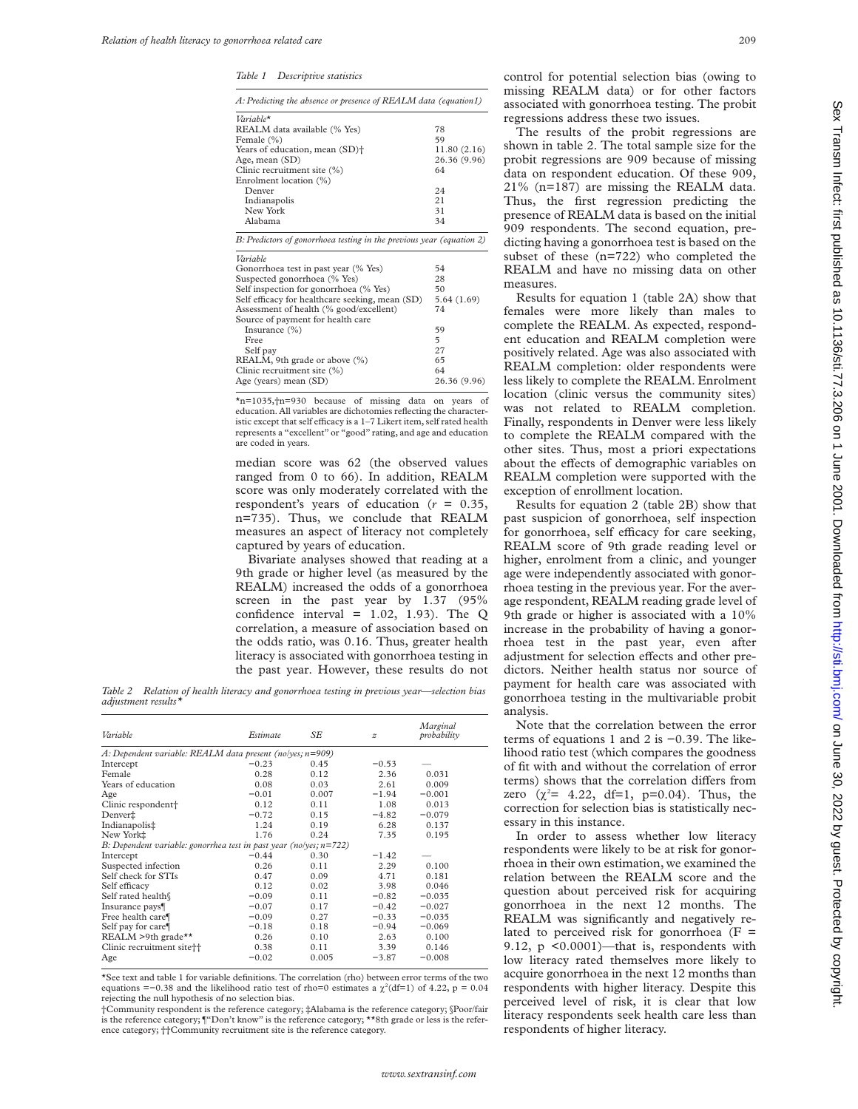*Table 1 Descriptive statistics*

| A: Predicting the absence or presence of REALM data (equation1)       |              |
|-----------------------------------------------------------------------|--------------|
| Variable*                                                             |              |
| REALM data available (% Yes)                                          | 78           |
| Female (%)                                                            | 59           |
| Years of education, mean (SD) <sup>+</sup>                            | 11.80(2.16)  |
| Age, mean (SD)                                                        | 26.36 (9.96) |
| Clinic recruitment site (%)                                           | 64           |
| Enrolment location (%)                                                |              |
| Denver                                                                | 24           |
| Indianapolis                                                          | 21           |
| New York                                                              | 31           |
| Alabama                                                               | 34           |
| B: Predictors of gonorrhoea testing in the previous year (equation 2) |              |
| Variable                                                              |              |
| Gonorrhoea test in past year (% Yes)                                  | 54           |
| Suspected gonorrhoea (% Yes)                                          | 28           |
| Self inspection for gonorrhoea (% Yes)                                | 50           |
| Self efficacy for healthcare seeking, mean (SD)                       | 5.64(1.69)   |
| Assessment of health (% good/excellent)                               | 74           |
| Source of payment for health care                                     |              |
| Insurance $(\% )$                                                     | 59           |
| Free                                                                  | 5            |
| Self pay                                                              | 27           |
| REALM, 9th grade or above (%)                                         | 65           |

\*n=1035,†n=930 because of missing data on years of education. All variables are dichotomies reflecting the characteristic except that self efficacy is a 1–7 Likert item, self rated health represents a "excellent" or "good" rating, and age and education are coded in years.

Clinic recruitment site (%) 64<br>Age (years) mean (SD) 65 (9.96)

median score was 62 (the observed values ranged from 0 to 66). In addition, REALM score was only moderately correlated with the respondent's years of education (*r* = 0.35, n=735). Thus, we conclude that REALM measures an aspect of literacy not completely captured by years of education.

Bivariate analyses showed that reading at a 9th grade or higher level (as measured by the REALM) increased the odds of a gonorrhoea screen in the past year by 1.37 (95% confidence interval = 1.02, 1.93). The Q correlation, a measure of association based on the odds ratio, was 0.16. Thus, greater health literacy is associated with gonorrhoea testing in the past year. However, these results do not

*Table 2 Relation of health literacy and gonorrhoea testing in previous year—selection bias adjustment results\**

Age (years) mean (SD)

| Variable                                                              | Estimate | SE    | $\boldsymbol{z}$ | Marginal<br>probability |  |
|-----------------------------------------------------------------------|----------|-------|------------------|-------------------------|--|
| $A:$ Dependent variable: REALM data present (no/yes; $n=909$ )        |          |       |                  |                         |  |
| Intercept                                                             | $-0.23$  | 0.45  | $-0.53$          |                         |  |
| Female                                                                | 0.28     | 0.12  | 2.36             | 0.031                   |  |
| Years of education                                                    | 0.08     | 0.03  | 2.61             | 0.009                   |  |
| Age                                                                   | $-0.01$  | 0.007 | $-1.94$          | $-0.001$                |  |
| Clinic respondent <sup>+</sup>                                        | 0.12     | 0.11  | 1.08             | 0.013                   |  |
| Denver‡                                                               | $-0.72$  | 0.15  | $-4.82$          | $-0.079$                |  |
| Indianapolis‡                                                         | 1.24     | 0.19  | 6.28             | 0.137                   |  |
| New York <sup>±</sup>                                                 | 1.76     | 0.24  | 7.35             | 0.195                   |  |
| B: Dependent variable: gonorrhea test in past year (no/yes; $n=722$ ) |          |       |                  |                         |  |
| Intercept                                                             | $-0.44$  | 0.30  | $-1.42$          |                         |  |
| Suspected infection                                                   | 0.26     | 0.11  | 2.29             | 0.100                   |  |
| Self check for STIs                                                   | 0.47     | 0.09  | 4.71             | 0.181                   |  |
| Self efficacy                                                         | 0.12     | 0.02  | 3.98             | 0.046                   |  |
| Self rated health                                                     | $-0.09$  | 0.11  | $-0.82$          | $-0.035$                |  |
| Insurance pays                                                        | $-0.07$  | 0.17  | $-0.42$          | $-0.027$                |  |
| Free health care                                                      | $-0.09$  | 0.27  | $-0.33$          | $-0.035$                |  |
| Self pay for care                                                     | $-0.18$  | 0.18  | $-0.94$          | $-0.069$                |  |
| $REALM > 9$ th grade**                                                | 0.26     | 0.10  | 2.63             | 0.100                   |  |
| Clinic recruitment site <sup>1</sup>                                  | 0.38     | 0.11  | 3.39             | 0.146                   |  |
| Age                                                                   | $-0.02$  | 0.005 | $-3.87$          | $-0.008$                |  |

\*See text and table 1 for variable definitions. The correlation (rho) between error terms of the two equations =−0.38 and the likelihood ratio test of rho=0 estimates a  $\chi^2$ (df=1) of 4.22, p = 0.04 rejecting the null hypothesis of no selection bias.

†Community respondent is the reference category; ‡Alabama is the reference category; §Poor/fair is the reference category; ¶"Don't know" is the reference category; \*\*8th grade or less is the reference category; ††Community recruitment site is the reference category.

control for potential selection bias (owing to missing REALM data) or for other factors associated with gonorrhoea testing. The probit regressions address these two issues.

The results of the probit regressions are shown in table 2. The total sample size for the probit regressions are 909 because of missing data on respondent education. Of these 909, 21% (n=187) are missing the REALM data. Thus, the first regression predicting the presence of REALM data is based on the initial 909 respondents. The second equation, predicting having a gonorrhoea test is based on the subset of these (n=722) who completed the REALM and have no missing data on other measures.

Results for equation 1 (table 2A) show that females were more likely than males to complete the REALM. As expected, respondent education and REALM completion were positively related. Age was also associated with REALM completion: older respondents were less likely to complete the REALM. Enrolment location (clinic versus the community sites) was not related to REALM completion. Finally, respondents in Denver were less likely to complete the REALM compared with the other sites. Thus, most a priori expectations about the effects of demographic variables on REALM completion were supported with the exception of enrollment location.

Results for equation 2 (table 2B) show that past suspicion of gonorrhoea, self inspection for gonorrhoea, self efficacy for care seeking, REALM score of 9th grade reading level or higher, enrolment from a clinic, and younger age were independently associated with gonorrhoea testing in the previous year. For the average respondent, REALM reading grade level of 9th grade or higher is associated with a 10% increase in the probability of having a gonorrhoea test in the past year, even after adjustment for selection effects and other predictors. Neither health status nor source of payment for health care was associated with gonorrhoea testing in the multivariable probit analysis.

Note that the correlation between the error terms of equations 1 and 2 is −0.39. The likelihood ratio test (which compares the goodness of fit with and without the correlation of error terms) shows that the correlation differs from zero  $(\chi^2 = 4.22, df=1, p=0.04)$ . Thus, the correction for selection bias is statistically necessary in this instance.

In order to assess whether low literacy respondents were likely to be at risk for gonorrhoea in their own estimation, we examined the relation between the REALM score and the question about perceived risk for acquiring gonorrhoea in the next 12 months. The REALM was significantly and negatively related to perceived risk for gonorrhoea  $(F =$ 9.12, p <0.0001)—that is, respondents with low literacy rated themselves more likely to acquire gonorrhoea in the next 12 months than respondents with higher literacy. Despite this perceived level of risk, it is clear that low literacy respondents seek health care less than respondents of higher literacy.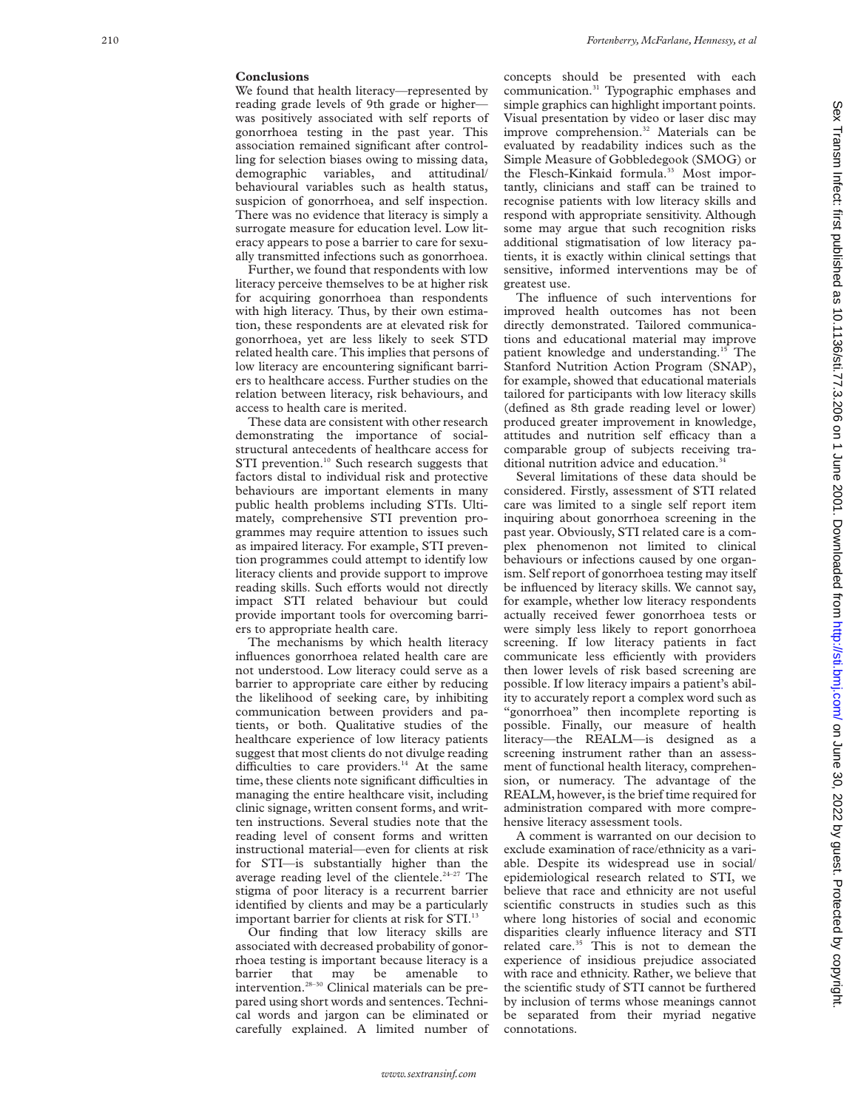We found that health literacy—represented by reading grade levels of 9th grade or higher was positively associated with self reports of gonorrhoea testing in the past year. This association remained significant after controlling for selection biases owing to missing data, demographic variables, and attitudinal/ behavioural variables such as health status, suspicion of gonorrhoea, and self inspection. There was no evidence that literacy is simply a surrogate measure for education level. Low literacy appears to pose a barrier to care for sexually transmitted infections such as gonorrhoea.

Further, we found that respondents with low literacy perceive themselves to be at higher risk for acquiring gonorrhoea than respondents with high literacy. Thus, by their own estimation, these respondents are at elevated risk for gonorrhoea, yet are less likely to seek STD related health care. This implies that persons of low literacy are encountering significant barriers to healthcare access. Further studies on the relation between literacy, risk behaviours, and access to health care is merited.

These data are consistent with other research demonstrating the importance of socialstructural antecedents of healthcare access for STI prevention.<sup>10</sup> Such research suggests that factors distal to individual risk and protective behaviours are important elements in many public health problems including STIs. Ultimately, comprehensive STI prevention programmes may require attention to issues such as impaired literacy. For example, STI prevention programmes could attempt to identify low literacy clients and provide support to improve reading skills. Such efforts would not directly impact STI related behaviour but could provide important tools for overcoming barriers to appropriate health care.

The mechanisms by which health literacy influences gonorrhoea related health care are not understood. Low literacy could serve as a barrier to appropriate care either by reducing the likelihood of seeking care, by inhibiting communication between providers and patients, or both. Qualitative studies of the healthcare experience of low literacy patients suggest that most clients do not divulge reading difficulties to care providers.<sup>14</sup> At the same time, these clients note significant difficulties in managing the entire healthcare visit, including clinic signage, written consent forms, and written instructions. Several studies note that the reading level of consent forms and written instructional material—even for clients at risk for STI—is substantially higher than the average reading level of the clientele.<sup>24-27</sup> The stigma of poor literacy is a recurrent barrier identified by clients and may be a particularly important barrier for clients at risk for STI.13

Our finding that low literacy skills are associated with decreased probability of gonorrhoea testing is important because literacy is a barrier that may be amenable to intervention.28–30 Clinical materials can be prepared using short words and sentences. Technical words and jargon can be eliminated or carefully explained. A limited number of

concepts should be presented with each communication.<sup>31</sup> Typographic emphases and simple graphics can highlight important points. Visual presentation by video or laser disc may improve comprehension.<sup>32</sup> Materials can be evaluated by readability indices such as the Simple Measure of Gobbledegook (SMOG) or the Flesch-Kinkaid formula.<sup>33</sup> Most importantly, clinicians and staff can be trained to recognise patients with low literacy skills and respond with appropriate sensitivity. Although some may argue that such recognition risks additional stigmatisation of low literacy patients, it is exactly within clinical settings that sensitive, informed interventions may be of greatest use.

The influence of such interventions for improved health outcomes has not been directly demonstrated. Tailored communications and educational material may improve patient knowledge and understanding.<sup>15</sup> The Stanford Nutrition Action Program (SNAP), for example, showed that educational materials tailored for participants with low literacy skills (defined as 8th grade reading level or lower) produced greater improvement in knowledge, attitudes and nutrition self efficacy than a comparable group of subjects receiving traditional nutrition advice and education.<sup>34</sup>

Several limitations of these data should be considered. Firstly, assessment of STI related care was limited to a single self report item inquiring about gonorrhoea screening in the past year. Obviously, STI related care is a complex phenomenon not limited to clinical behaviours or infections caused by one organism. Self report of gonorrhoea testing may itself be influenced by literacy skills. We cannot say, for example, whether low literacy respondents actually received fewer gonorrhoea tests or were simply less likely to report gonorrhoea screening. If low literacy patients in fact communicate less efficiently with providers then lower levels of risk based screening are possible. If low literacy impairs a patient's ability to accurately report a complex word such as "gonorrhoea" then incomplete reporting is possible. Finally, our measure of health literacy—the REALM—is designed as a screening instrument rather than an assessment of functional health literacy, comprehension, or numeracy. The advantage of the REALM, however, is the brief time required for administration compared with more comprehensive literacy assessment tools.

A comment is warranted on our decision to exclude examination of race/ethnicity as a variable. Despite its widespread use in social/ epidemiological research related to STI, we believe that race and ethnicity are not useful scientific constructs in studies such as this where long histories of social and economic disparities clearly influence literacy and STI related care.<sup>35</sup> This is not to demean the experience of insidious prejudice associated with race and ethnicity. Rather, we believe that the scientific study of STI cannot be furthered by inclusion of terms whose meanings cannot be separated from their myriad negative connotations.